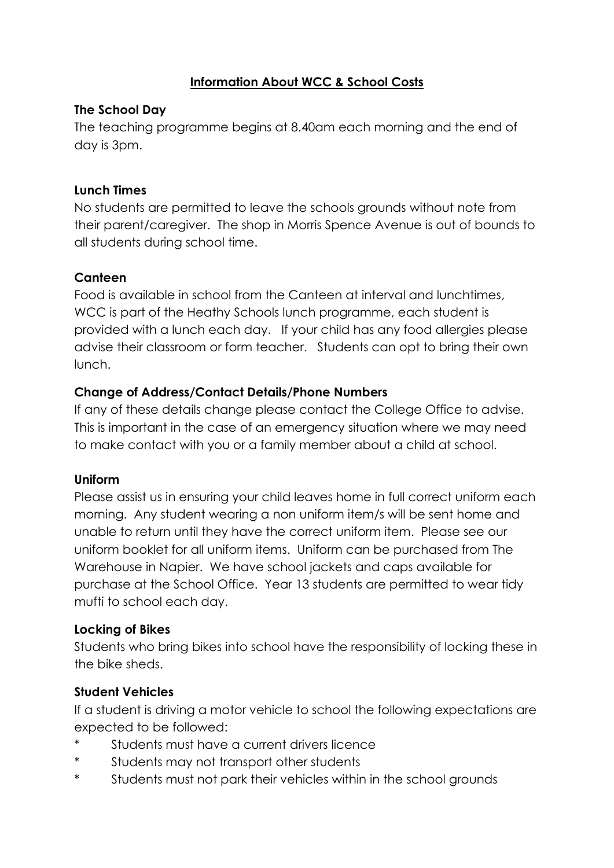#### **Information About WCC & School Costs**

#### **The School Day**

The teaching programme begins at 8.40am each morning and the end of day is 3pm.

#### **Lunch Times**

No students are permitted to leave the schools grounds without note from their parent/caregiver. The shop in Morris Spence Avenue is out of bounds to all students during school time.

#### **Canteen**

Food is available in school from the Canteen at interval and lunchtimes, WCC is part of the Heathy Schools lunch programme, each student is provided with a lunch each day. If your child has any food allergies please advise their classroom or form teacher. Students can opt to bring their own lunch.

#### **Change of Address/Contact Details/Phone Numbers**

If any of these details change please contact the College Office to advise. This is important in the case of an emergency situation where we may need to make contact with you or a family member about a child at school.

#### **Uniform**

Please assist us in ensuring your child leaves home in full correct uniform each morning. Any student wearing a non uniform item/s will be sent home and unable to return until they have the correct uniform item. Please see our uniform booklet for all uniform items. Uniform can be purchased from The Warehouse in Napier. We have school jackets and caps available for purchase at the School Office. Year 13 students are permitted to wear tidy mufti to school each day.

#### **Locking of Bikes**

Students who bring bikes into school have the responsibility of locking these in the bike sheds.

#### **Student Vehicles**

If a student is driving a motor vehicle to school the following expectations are expected to be followed:

- Students must have a current drivers licence
- \* Students may not transport other students
- \* Students must not park their vehicles within in the school grounds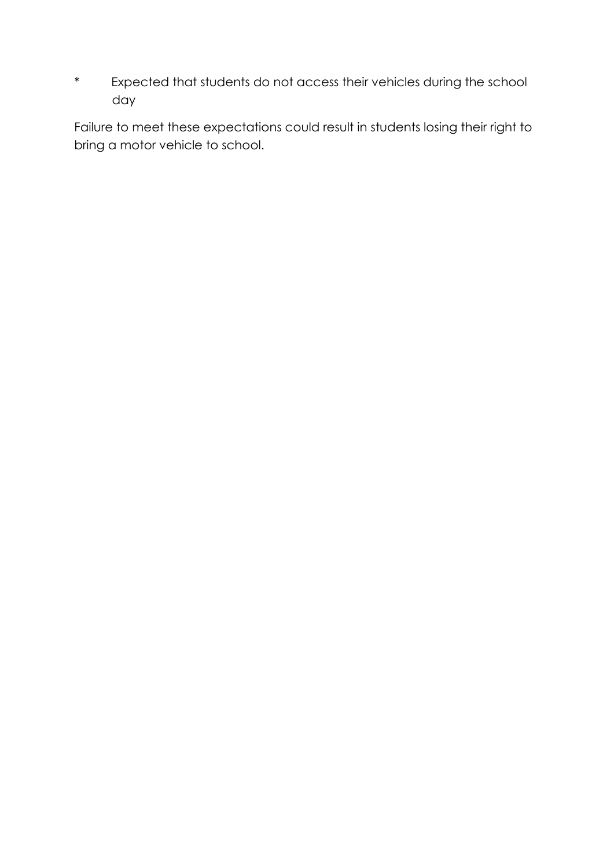\* Expected that students do not access their vehicles during the school day

Failure to meet these expectations could result in students losing their right to bring a motor vehicle to school.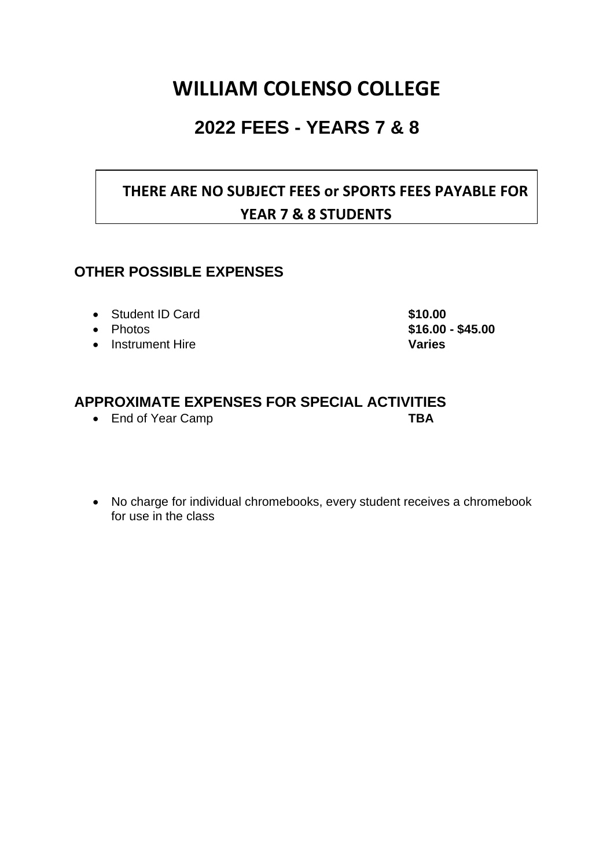# **WILLIAM COLENSO COLLEGE**

## **2022 FEES - YEARS 7 & 8**

## **THERE ARE NO SUBJECT FEES or SPORTS FEES PAYABLE FOR YEAR 7 & 8 STUDENTS**

#### **OTHER POSSIBLE EXPENSES**

- Student ID Card **\$10.00**
- 
- Instrument Hire **Varies**

• Photos **\$16.00 - \$45.00**

### **APPROXIMATE EXPENSES FOR SPECIAL ACTIVITIES**

- End of Year Camp **TBA**
- No charge for individual chromebooks, every student receives a chromebook for use in the class